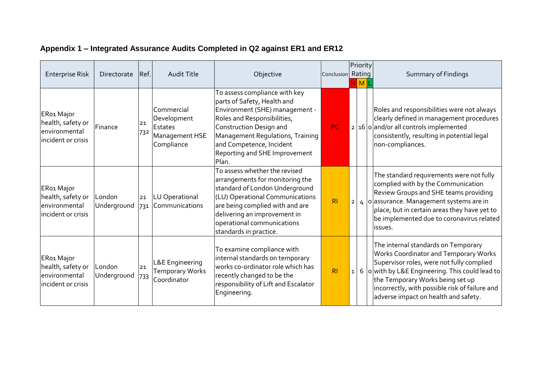| <b>Enterprise Risk</b>                                                  | Directorate           | Ref.      | <b>Audit Title</b>                                                   | Objective                                                                                                                                                                                                                                                          | Conclusion Rating |              | Priority<br>M | <b>Summary of Findings</b>                                                                                                                                                                                                                                                                                            |
|-------------------------------------------------------------------------|-----------------------|-----------|----------------------------------------------------------------------|--------------------------------------------------------------------------------------------------------------------------------------------------------------------------------------------------------------------------------------------------------------------|-------------------|--------------|---------------|-----------------------------------------------------------------------------------------------------------------------------------------------------------------------------------------------------------------------------------------------------------------------------------------------------------------------|
| ER01 Major<br>health, safety or<br>lenvironmental<br>incident or crisis | Finance               | 21<br>732 | Commercial<br>Development<br>Estates<br>Management HSE<br>Compliance | To assess compliance with key<br>parts of Safety, Health and<br>Environment (SHE) management -<br>Roles and Responsibilities,<br>Construction Design and<br>Management Regulations, Training<br>and Competence, Incident<br>Reporting and SHE Improvement<br>Plan. | PC                |              |               | Roles and responsibilities were not always<br>clearly defined in management procedures<br>$2 16 0 $ and/or all controls implemented<br>consistently, resulting in potential legal<br>non-compliances.                                                                                                                 |
| ER01 Major<br>health, safety or<br>environmental<br>incident or crisis  | London<br>Underground | 21        | LU Operational<br>731 Communications                                 | To assess whether the revised<br>arrangements for monitoring the<br>standard of London Underground<br>(LU) Operational Communications<br>are being complied with and are<br>delivering an improvement in<br>operational communications<br>standards in practice.   | R <sub>l</sub>    | $2 \mid$     |               | The standard requirements were not fully<br>complied with by the Communication<br>Review Groups and SHE teams providing<br>$4$ o assurance. Management systems are in<br>place, but in certain areas they have yet to<br>be implemented due to coronavirus related<br>issues.                                         |
| ER01 Major<br>health, safety or<br>environmental<br>incident or crisis  | London<br>Underground | 21<br>733 | L&E Engineering<br>Temporary Works<br>Coordinator                    | To examine compliance with<br>internal standards on temporary<br>works co-ordinator role which has<br>recently changed to be the<br>responsibility of Lift and Escalator<br>Engineering.                                                                           | R <sub>l</sub>    | $\mathbf{1}$ |               | The internal standards on Temporary<br><b>Works Coordinator and Temporary Works</b><br>Supervisor roles, were not fully complied<br>6 $ o $ with by L&E Engineering. This could lead to<br>the Temporary Works being set up<br>incorrectly, with possible risk of failure and<br>adverse impact on health and safety. |

## **Appendix 1 – Integrated Assurance Audits Completed in Q2 against ER1 and ER12**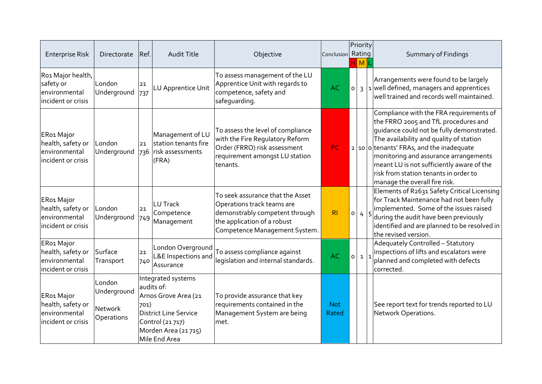| <b>Enterprise Risk</b>                                                 | Directorate                                                  | Ref.      | Audit Title                                                                                                                                   | Objective                                                                                                                                                        | Conclusion          |         | Priority<br>Rating<br>M | <b>Summary of Findings</b>                                                                                                                                                                                                                                                                                                                                                                        |
|------------------------------------------------------------------------|--------------------------------------------------------------|-----------|-----------------------------------------------------------------------------------------------------------------------------------------------|------------------------------------------------------------------------------------------------------------------------------------------------------------------|---------------------|---------|-------------------------|---------------------------------------------------------------------------------------------------------------------------------------------------------------------------------------------------------------------------------------------------------------------------------------------------------------------------------------------------------------------------------------------------|
| Ro1 Major health,<br>safety or<br>environmental<br>incident or crisis  | London<br>Underground                                        | 21<br>737 | LU Apprentice Unit                                                                                                                            | To assess management of the LU<br>Apprentice Unit with regards to<br>competence, safety and<br>safequarding.                                                     | <b>AC</b>           | $\circ$ |                         | Arrangements were found to be largely<br>$3 \vert 1 \vert$ well defined, managers and apprentices<br>well trained and records well maintained.                                                                                                                                                                                                                                                    |
| ER01 Major<br>health, safety or<br>environmental<br>incident or crisis | London<br>Underground                                        | 21        | Management of LU<br>station tenants fire<br>736 risk assessments<br>(FRA)                                                                     | To assess the level of compliance<br>with the Fire Regulatory Reform<br>Order (FRRO) risk assessment<br>requirement amongst LU station<br>tenants.               | <b>PC</b>           |         |                         | Compliance with the FRA requirements of<br>the FRRO 2005 and TfL procedures and<br>quidance could not be fully demonstrated.<br>The availability and quality of station<br>$2 \vert 10 \vert 0$ tenants' FRAs, and the inadequate<br>monitoring and assurance arrangements<br>meant LU is not sufficiently aware of the<br>risk from station tenants in order to<br>manage the overall fire risk. |
| ER01 Major<br>health, safety or<br>environmental<br>incident or crisis | London<br>Underground                                        | 21<br>749 | <b>LU</b> Track<br>Competence<br>Management                                                                                                   | To seek assurance that the Asset<br>Operations track teams are<br>demonstrably competent through<br>the application of a robust<br>Competence Management System. | R <sub>l</sub>      | $\circ$ |                         | Elements of R2631 Safety Critical Licensing<br>for Track Maintenance had not been fully<br>implemented. Some of the issues raised<br>$4 5 $ during the audit have been previously<br>identified and are planned to be resolved in<br>the revised version.                                                                                                                                         |
| ER01 Major<br>health, safety or<br>environmental<br>incident or crisis | Surface<br>Transport                                         | 21<br>740 | London Overground<br>L&E Inspections and<br>Assurance                                                                                         | To assess compliance against<br>legislation and internal standards.                                                                                              | <b>AC</b>           |         | $0 \mid 1 \mid 1$       | Adequately Controlled - Statutory<br>inspections of lifts and escalators were<br>planned and completed with defects<br>corrected.                                                                                                                                                                                                                                                                 |
| ER01 Major<br>health, safety or<br>environmental<br>incident or crisis | London<br>Underground<br><b>Network</b><br><b>Operations</b> | 701)      | Integrated systems<br>audits of:<br>Arnos Grove Area (21<br>District Line Service<br>Control (21 717)<br>Morden Area (21715)<br>Mile End Area | To provide assurance that key<br>requirements contained in the<br>Management System are being<br>met.                                                            | <b>Not</b><br>Rated |         |                         | See report text for trends reported to LU<br>Network Operations.                                                                                                                                                                                                                                                                                                                                  |